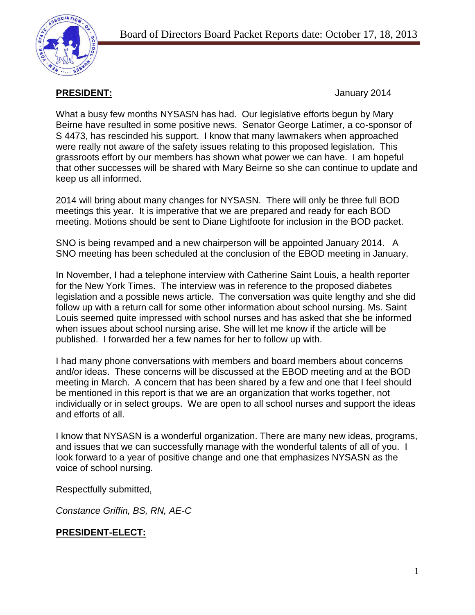**PRESIDENT:** January 2014

What a busy few months NYSASN has had. Our legislative efforts begun by Mary Beirne have resulted in some positive news. Senator George Latimer, a co-sponsor of S 4473, has rescinded his support. I know that many lawmakers when approached were really not aware of the safety issues relating to this proposed legislation. This grassroots effort by our members has shown what power we can have. I am hopeful that other successes will be shared with Mary Beirne so she can continue to update and keep us all informed.

2014 will bring about many changes for NYSASN. There will only be three full BOD meetings this year. It is imperative that we are prepared and ready for each BOD meeting. Motions should be sent to Diane Lightfoote for inclusion in the BOD packet.

SNO is being revamped and a new chairperson will be appointed January 2014. A SNO meeting has been scheduled at the conclusion of the EBOD meeting in January.

In November, I had a telephone interview with Catherine Saint Louis, a health reporter for the New York Times. The interview was in reference to the proposed diabetes legislation and a possible news article. The conversation was quite lengthy and she did follow up with a return call for some other information about school nursing. Ms. Saint Louis seemed quite impressed with school nurses and has asked that she be informed when issues about school nursing arise. She will let me know if the article will be published. I forwarded her a few names for her to follow up with.

I had many phone conversations with members and board members about concerns and/or ideas. These concerns will be discussed at the EBOD meeting and at the BOD meeting in March. A concern that has been shared by a few and one that I feel should be mentioned in this report is that we are an organization that works together, not individually or in select groups. We are open to all school nurses and support the ideas and efforts of all.

I know that NYSASN is a wonderful organization. There are many new ideas, programs, and issues that we can successfully manage with the wonderful talents of all of you. I look forward to a year of positive change and one that emphasizes NYSASN as the voice of school nursing.

Respectfully submitted,

*Constance Griffin, BS, RN, AE-C*

## **PRESIDENT-ELECT:**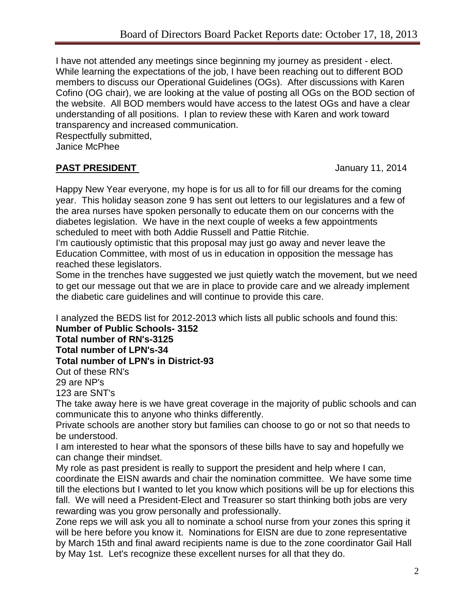I have not attended any meetings since beginning my journey as president - elect. While learning the expectations of the job, I have been reaching out to different BOD members to discuss our Operational Guidelines (OGs). After discussions with Karen Cofino (OG chair), we are looking at the value of posting all OGs on the BOD section of the website. All BOD members would have access to the latest OGs and have a clear understanding of all positions. I plan to review these with Karen and work toward transparency and increased communication.

Respectfully submitted,

Janice McPhee

## **PAST PRESIDENT January 11, 2014**

Happy New Year everyone, my hope is for us all to for fill our dreams for the coming year. This holiday season zone 9 has sent out letters to our legislatures and a few of the area nurses have spoken personally to educate them on our concerns with the diabetes legislation. We have in the next couple of weeks a few appointments scheduled to meet with both Addie Russell and Pattie Ritchie.

I'm cautiously optimistic that this proposal may just go away and never leave the Education Committee, with most of us in education in opposition the message has reached these legislators.

Some in the trenches have suggested we just quietly watch the movement, but we need to get our message out that we are in place to provide care and we already implement the diabetic care guidelines and will continue to provide this care.

I analyzed the BEDS list for 2012-2013 which lists all public schools and found this:

**Number of Public Schools- 3152**

**Total number of RN's-3125**

**Total number of LPN's-34**

**Total number of LPN's in District-93**

Out of these RN's 29 are NP's

123 are SNT's

The take away here is we have great coverage in the majority of public schools and can communicate this to anyone who thinks differently.

Private schools are another story but families can choose to go or not so that needs to be understood.

I am interested to hear what the sponsors of these bills have to say and hopefully we can change their mindset.

My role as past president is really to support the president and help where I can, coordinate the EISN awards and chair the nomination committee. We have some time till the elections but I wanted to let you know which positions will be up for elections this fall. We will need a President-Elect and Treasurer so start thinking both jobs are very rewarding was you grow personally and professionally.

Zone reps we will ask you all to nominate a school nurse from your zones this spring it will be here before you know it. Nominations for EISN are due to zone representative by March 15th and final award recipients name is due to the zone coordinator Gail Hall by May 1st. Let's recognize these excellent nurses for all that they do.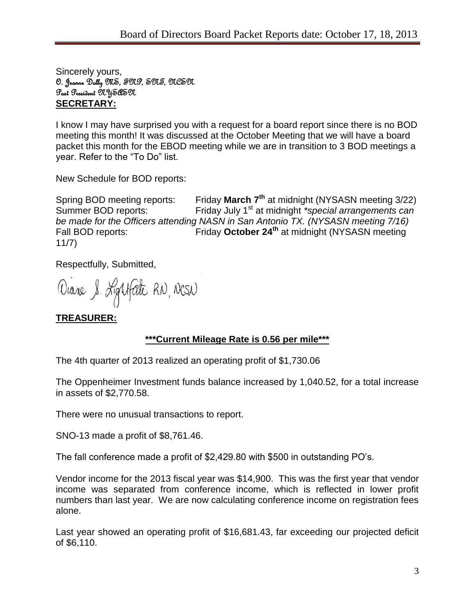Sincerely yours, O. Jeanne Dolly MS, FNP, SNT, NCSN Past President NYSASN **SECRETARY:**

I know I may have surprised you with a request for a board report since there is no BOD meeting this month! It was discussed at the October Meeting that we will have a board packet this month for the EBOD meeting while we are in transition to 3 BOD meetings a year. Refer to the "To Do" list.

New Schedule for BOD reports:

Spring BOD meeting reports: Friday **March 7th** at midnight (NYSASN meeting 3/22) Summer BOD reports: Friday July 1<sup>st</sup> at midnight *\*special arrangements can be made for the Officers attending NASN in San Antonio TX. (NYSASN meeting 7/16)* Fall BOD reports: Friday **October 24th** at midnight (NYSASN meeting 11/7)

Respectfully, Submitted,

Diane & Lightfate RN, NCSN

## **TREASURER:**

### **\*\*\*Current Mileage Rate is 0.56 per mile\*\*\***

The 4th quarter of 2013 realized an operating profit of \$1,730.06

The Oppenheimer Investment funds balance increased by 1,040.52, for a total increase in assets of \$2,770.58.

There were no unusual transactions to report.

SNO-13 made a profit of \$8,761.46.

The fall conference made a profit of \$2,429.80 with \$500 in outstanding PO's.

Vendor income for the 2013 fiscal year was \$14,900. This was the first year that vendor income was separated from conference income, which is reflected in lower profit numbers than last year. We are now calculating conference income on registration fees alone.

Last year showed an operating profit of \$16,681.43, far exceeding our projected deficit of \$6,110.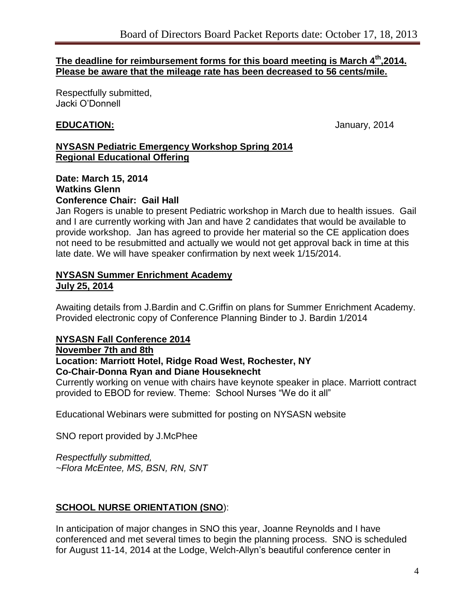#### **The deadline for reimbursement forms for this board meeting is March 4th,2014. Please be aware that the mileage rate has been decreased to 56 cents/mile.**

Respectfully submitted, Jacki O'Donnell

### **EDUCATION:** January, 2014

#### **NYSASN Pediatric Emergency Workshop Spring 2014 Regional Educational Offering**

#### **Date: March 15, 2014 Watkins Glenn Conference Chair: Gail Hall**

Jan Rogers is unable to present Pediatric workshop in March due to health issues. Gail and I are currently working with Jan and have 2 candidates that would be available to provide workshop. Jan has agreed to provide her material so the CE application does not need to be resubmitted and actually we would not get approval back in time at this late date. We will have speaker confirmation by next week 1/15/2014.

#### **NYSASN Summer Enrichment Academy July 25, 2014**

Awaiting details from J.Bardin and C.Griffin on plans for Summer Enrichment Academy. Provided electronic copy of Conference Planning Binder to J. Bardin 1/2014

### **NYSASN Fall Conference 2014**

### **November 7th and 8th**

#### **Location: Marriott Hotel, Ridge Road West, Rochester, NY Co-Chair-Donna Ryan and Diane Houseknecht**

Currently working on venue with chairs have keynote speaker in place. Marriott contract provided to EBOD for review. Theme: School Nurses "We do it all"

Educational Webinars were submitted for posting on NYSASN website

SNO report provided by J.McPhee

*Respectfully submitted, ~Flora McEntee, MS, BSN, RN, SNT*

## **SCHOOL NURSE ORIENTATION (SNO**):

In anticipation of major changes in SNO this year, Joanne Reynolds and I have conferenced and met several times to begin the planning process. SNO is scheduled for August 11-14, 2014 at the Lodge, Welch-Allyn's beautiful conference center in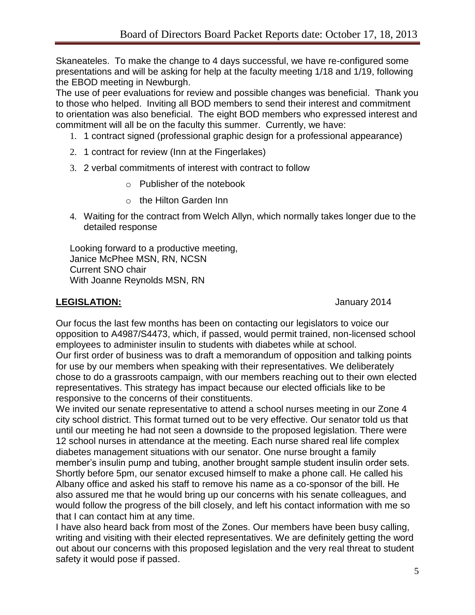Skaneateles. To make the change to 4 days successful, we have re-configured some presentations and will be asking for help at the faculty meeting 1/18 and 1/19, following the EBOD meeting in Newburgh.

The use of peer evaluations for review and possible changes was beneficial. Thank you to those who helped. Inviting all BOD members to send their interest and commitment to orientation was also beneficial. The eight BOD members who expressed interest and commitment will all be on the faculty this summer. Currently, we have:

- 1. 1 contract signed (professional graphic design for a professional appearance)
- 2. 1 contract for review (Inn at the Fingerlakes)
- 3. 2 verbal commitments of interest with contract to follow
	- o Publisher of the notebook
	- o the Hilton Garden Inn
- 4. Waiting for the contract from Welch Allyn, which normally takes longer due to the detailed response

Looking forward to a productive meeting, Janice McPhee MSN, RN, NCSN Current SNO chair With Joanne Reynolds MSN, RN

## **LEGISLATION:** January 2014

Our focus the last few months has been on contacting our legislators to voice our opposition to A4987/S4473, which, if passed, would permit trained, non-licensed school employees to administer insulin to students with diabetes while at school. Our first order of business was to draft a memorandum of opposition and talking points for use by our members when speaking with their representatives. We deliberately chose to do a grassroots campaign, with our members reaching out to their own elected representatives. This strategy has impact because our elected officials like to be responsive to the concerns of their constituents.

We invited our senate representative to attend a school nurses meeting in our Zone 4 city school district. This format turned out to be very effective. Our senator told us that until our meeting he had not seen a downside to the proposed legislation. There were 12 school nurses in attendance at the meeting. Each nurse shared real life complex diabetes management situations with our senator. One nurse brought a family member's insulin pump and tubing, another brought sample student insulin order sets. Shortly before 5pm, our senator excused himself to make a phone call. He called his Albany office and asked his staff to remove his name as a co-sponsor of the bill. He also assured me that he would bring up our concerns with his senate colleagues, and would follow the progress of the bill closely, and left his contact information with me so that I can contact him at any time.

I have also heard back from most of the Zones. Our members have been busy calling, writing and visiting with their elected representatives. We are definitely getting the word out about our concerns with this proposed legislation and the very real threat to student safety it would pose if passed.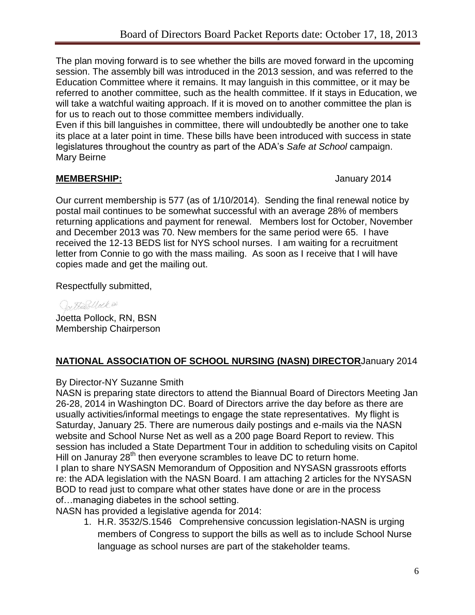The plan moving forward is to see whether the bills are moved forward in the upcoming session. The assembly bill was introduced in the 2013 session, and was referred to the Education Committee where it remains. It may languish in this committee, or it may be referred to another committee, such as the health committee. If it stays in Education, we will take a watchful waiting approach. If it is moved on to another committee the plan is for us to reach out to those committee members individually.

Even if this bill languishes in committee, there will undoubtedly be another one to take its place at a later point in time. These bills have been introduced with success in state legislatures throughout the country as part of the ADA's *Safe at School* campaign. Mary Beirne

## **MEMBERSHIP:** January 2014

Our current membership is 577 (as of 1/10/2014). Sending the final renewal notice by postal mail continues to be somewhat successful with an average 28% of members returning applications and payment for renewal. Members lost for October, November and December 2013 was 70. New members for the same period were 65. I have received the 12-13 BEDS list for NYS school nurses. I am waiting for a recruitment letter from Connie to go with the mass mailing. As soon as I receive that I will have copies made and get the mailing out.

Respectfully submitted,

Or Harblock RD Joetta Pollock, RN, BSN Membership Chairperson

## **NATIONAL ASSOCIATION OF SCHOOL NURSING (NASN) DIRECTOR**January 2014

## By Director-NY Suzanne Smith

NASN is preparing state directors to attend the Biannual Board of Directors Meeting Jan 26-28, 2014 in Washington DC. Board of Directors arrive the day before as there are usually activities/informal meetings to engage the state representatives. My flight is Saturday, January 25. There are numerous daily postings and e-mails via the NASN website and School Nurse Net as well as a 200 page Board Report to review. This session has included a State Department Tour in addition to scheduling visits on Capitol Hill on Januray 28<sup>th</sup> then everyone scrambles to leave DC to return home. I plan to share NYSASN Memorandum of Opposition and NYSASN grassroots efforts re: the ADA legislation with the NASN Board. I am attaching 2 articles for the NYSASN BOD to read just to compare what other states have done or are in the process of…managing diabetes in the school setting.

NASN has provided a legislative agenda for 2014:

1. H.R. 3532/S.1546 Comprehensive concussion legislation-NASN is urging members of Congress to support the bills as well as to include School Nurse language as school nurses are part of the stakeholder teams.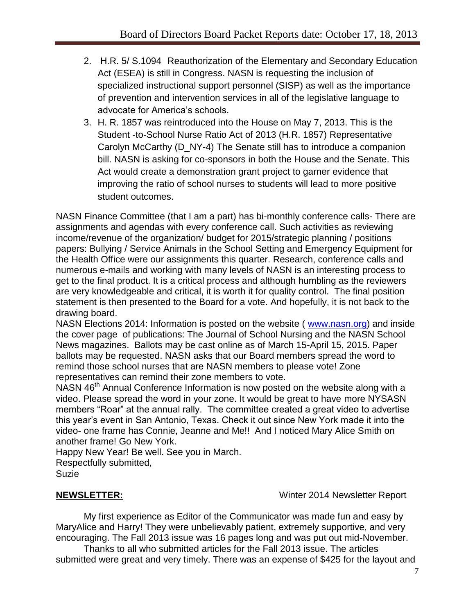- 2. H.R. 5/ S.1094 Reauthorization of the Elementary and Secondary Education Act (ESEA) is still in Congress. NASN is requesting the inclusion of specialized instructional support personnel (SISP) as well as the importance of prevention and intervention services in all of the legislative language to advocate for America's schools.
- 3. H. R. 1857 was reintroduced into the House on May 7, 2013. This is the Student -to-School Nurse Ratio Act of 2013 (H.R. 1857) Representative Carolyn McCarthy (D\_NY-4) The Senate still has to introduce a companion bill. NASN is asking for co-sponsors in both the House and the Senate. This Act would create a demonstration grant project to garner evidence that improving the ratio of school nurses to students will lead to more positive student outcomes.

NASN Finance Committee (that I am a part) has bi-monthly conference calls- There are assignments and agendas with every conference call. Such activities as reviewing income/revenue of the organization/ budget for 2015/strategic planning / positions papers: Bullying / Service Animals in the School Setting and Emergency Equipment for the Health Office were our assignments this quarter. Research, conference calls and numerous e-mails and working with many levels of NASN is an interesting process to get to the final product. It is a critical process and although humbling as the reviewers are very knowledgeable and critical, it is worth it for quality control. The final position statement is then presented to the Board for a vote. And hopefully, it is not back to the drawing board.

NASN Elections 2014: Information is posted on the website ( [www.nasn.org\)](http://www.nasn.org/) and inside the cover page of publications: The Journal of School Nursing and the NASN School News magazines. Ballots may be cast online as of March 15-April 15, 2015. Paper ballots may be requested. NASN asks that our Board members spread the word to remind those school nurses that are NASN members to please vote! Zone representatives can remind their zone members to vote.

NASN 46<sup>th</sup> Annual Conference Information is now posted on the website along with a video. Please spread the word in your zone. It would be great to have more NYSASN members "Roar" at the annual rally. The committee created a great video to advertise this year's event in San Antonio, Texas. Check it out since New York made it into the video- one frame has Connie, Jeanne and Me!! And I noticed Mary Alice Smith on another frame! Go New York.

Happy New Year! Be well. See you in March.

Respectfully submitted,

Suzie

**NEWSLETTER:** Winter 2014 Newsletter Report

My first experience as Editor of the Communicator was made fun and easy by MaryAlice and Harry! They were unbelievably patient, extremely supportive, and very encouraging. The Fall 2013 issue was 16 pages long and was put out mid-November.

Thanks to all who submitted articles for the Fall 2013 issue. The articles submitted were great and very timely. There was an expense of \$425 for the layout and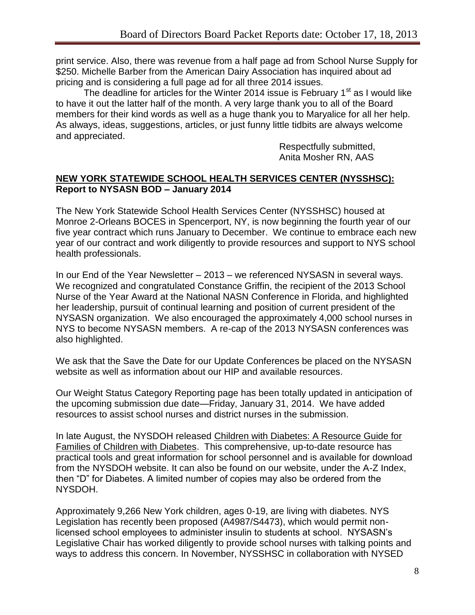print service. Also, there was revenue from a half page ad from School Nurse Supply for \$250. Michelle Barber from the American Dairy Association has inquired about ad pricing and is considering a full page ad for all three 2014 issues.

The deadline for articles for the Winter 2014 issue is February 1 $^{\text{st}}$  as I would like to have it out the latter half of the month. A very large thank you to all of the Board members for their kind words as well as a huge thank you to Maryalice for all her help. As always, ideas, suggestions, articles, or just funny little tidbits are always welcome and appreciated.

> Respectfully submitted, Anita Mosher RN, AAS

#### **NEW YORK STATEWIDE SCHOOL HEALTH SERVICES CENTER (NYSSHSC): Report to NYSASN BOD – January 2014**

The New York Statewide School Health Services Center (NYSSHSC) housed at Monroe 2-Orleans BOCES in Spencerport, NY, is now beginning the fourth year of our five year contract which runs January to December. We continue to embrace each new year of our contract and work diligently to provide resources and support to NYS school health professionals.

In our End of the Year Newsletter – 2013 – we referenced NYSASN in several ways. We recognized and congratulated Constance Griffin, the recipient of the 2013 School Nurse of the Year Award at the National NASN Conference in Florida, and highlighted her leadership, pursuit of continual learning and position of current president of the NYSASN organization. We also encouraged the approximately 4,000 school nurses in NYS to become NYSASN members. A re-cap of the 2013 NYSASN conferences was also highlighted.

We ask that the Save the Date for our Update Conferences be placed on the NYSASN website as well as information about our HIP and available resources.

Our Weight Status Category Reporting page has been totally updated in anticipation of the upcoming submission due date—Friday, January 31, 2014. We have added resources to assist school nurses and district nurses in the submission.

In late August, the NYSDOH released Children with Diabetes: A Resource Guide for Families of Children with Diabetes. This comprehensive, up-to-date resource has practical tools and great information for school personnel and is available for download from the NYSDOH website. It can also be found on our website, under the A-Z Index, then "D" for Diabetes. A limited number of copies may also be ordered from the NYSDOH.

Approximately 9,266 New York children, ages 0-19, are living with diabetes. NYS Legislation has recently been proposed (A4987/S4473), which would permit nonlicensed school employees to administer insulin to students at school. NYSASN's Legislative Chair has worked diligently to provide school nurses with talking points and ways to address this concern. In November, NYSSHSC in collaboration with NYSED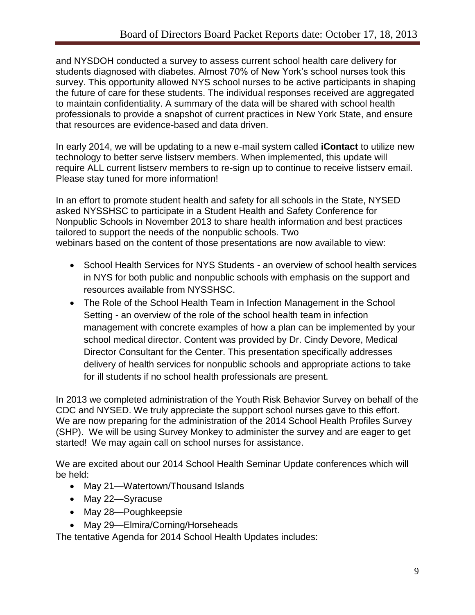and NYSDOH conducted a survey to assess current school health care delivery for students diagnosed with diabetes. Almost 70% of New York's school nurses took this survey. This opportunity allowed NYS school nurses to be active participants in shaping the future of care for these students. The individual responses received are aggregated to maintain confidentiality. A summary of the data will be shared with school health professionals to provide a snapshot of current practices in New York State, and ensure that resources are evidence-based and data driven.

In early 2014, we will be updating to a new e-mail system called **iContact** to utilize new technology to better serve listserv members. When implemented, this update will require ALL current listserv members to re-sign up to continue to receive listserv email. Please stay tuned for more information!

In an effort to promote student health and safety for all schools in the State, NYSED asked NYSSHSC to participate in a Student Health and Safety Conference for Nonpublic Schools in November 2013 to share health information and best practices tailored to support the needs of the nonpublic schools. Two webinars based on the content of those presentations are now available to view:

- School Health Services for NYS Students an overview of school health services in NYS for both public and nonpublic schools with emphasis on the support and resources available from NYSSHSC.
- The Role of the School Health Team in Infection Management in the School Setting - an overview of the role of the school health team in infection management with concrete examples of how a plan can be implemented by your school medical director. Content was provided by Dr. Cindy Devore, Medical Director Consultant for the Center. This presentation specifically addresses delivery of health services for nonpublic schools and appropriate actions to take for ill students if no school health professionals are present.

In 2013 we completed administration of the Youth Risk Behavior Survey on behalf of the CDC and NYSED. We truly appreciate the support school nurses gave to this effort. We are now preparing for the administration of the 2014 School Health Profiles Survey (SHP). We will be using Survey Monkey to administer the survey and are eager to get started! We may again call on school nurses for assistance.

We are excited about our 2014 School Health Seminar Update conferences which will be held:

- May 21—Watertown/Thousand Islands
- May 22-Syracuse
- May 28-Poughkeepsie
- May 29-Elmira/Corning/Horseheads

The tentative Agenda for 2014 School Health Updates includes: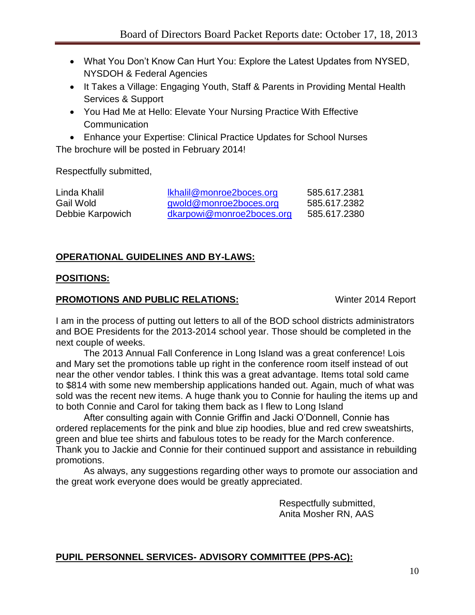- What You Don't Know Can Hurt You: Explore the Latest Updates from NYSED, NYSDOH & Federal Agencies
- It Takes a Village: Engaging Youth, Staff & Parents in Providing Mental Health Services & Support
- You Had Me at Hello: Elevate Your Nursing Practice With Effective **Communication**

 Enhance your Expertise: Clinical Practice Updates for School Nurses The brochure will be posted in February 2014!

Respectfully submitted,

| Linda Khalil     | <u>Ikhalil@monroe2boces.org</u> | 585.617.2381 |
|------------------|---------------------------------|--------------|
| Gail Wold        | gwold@monroe2boces.org          | 585.617.2382 |
| Debbie Karpowich | dkarpowi@monroe2boces.org       | 585.617.2380 |

## **OPERATIONAL GUIDELINES AND BY-LAWS:**

### **POSITIONS:**

### **PROMOTIONS AND PUBLIC RELATIONS:** Winter 2014 Report

I am in the process of putting out letters to all of the BOD school districts administrators and BOE Presidents for the 2013-2014 school year. Those should be completed in the next couple of weeks.

The 2013 Annual Fall Conference in Long Island was a great conference! Lois and Mary set the promotions table up right in the conference room itself instead of out near the other vendor tables. I think this was a great advantage. Items total sold came to \$814 with some new membership applications handed out. Again, much of what was sold was the recent new items. A huge thank you to Connie for hauling the items up and to both Connie and Carol for taking them back as I flew to Long Island

After consulting again with Connie Griffin and Jacki O'Donnell, Connie has ordered replacements for the pink and blue zip hoodies, blue and red crew sweatshirts, green and blue tee shirts and fabulous totes to be ready for the March conference. Thank you to Jackie and Connie for their continued support and assistance in rebuilding promotions.

As always, any suggestions regarding other ways to promote our association and the great work everyone does would be greatly appreciated.

> Respectfully submitted, Anita Mosher RN, AAS

## **PUPIL PERSONNEL SERVICES- ADVISORY COMMITTEE (PPS-AC):**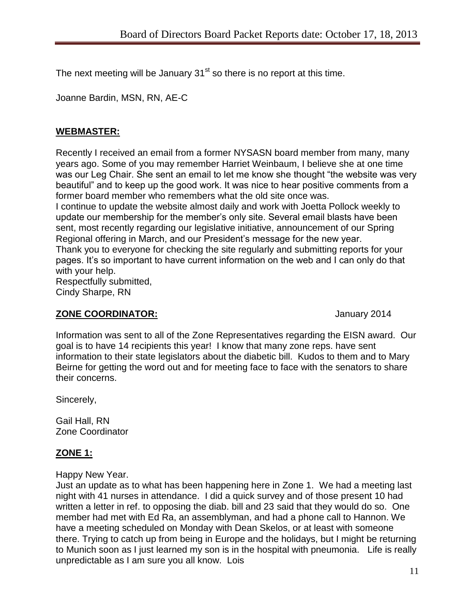The next meeting will be January  $31<sup>st</sup>$  so there is no report at this time.

Joanne Bardin, MSN, RN, AE-C

## **WEBMASTER:**

Recently I received an email from a former NYSASN board member from many, many years ago. Some of you may remember Harriet Weinbaum, I believe she at one time was our Leg Chair. She sent an email to let me know she thought "the website was very beautiful" and to keep up the good work. It was nice to hear positive comments from a former board member who remembers what the old site once was.

I continue to update the website almost daily and work with Joetta Pollock weekly to update our membership for the member's only site. Several email blasts have been sent, most recently regarding our legislative initiative, announcement of our Spring Regional offering in March, and our President's message for the new year. Thank you to everyone for checking the site regularly and submitting reports for your pages. It's so important to have current information on the web and I can only do that

with your help. Respectfully submitted, Cindy Sharpe, RN

## **ZONE COORDINATOR:** January 2014

Information was sent to all of the Zone Representatives regarding the EISN award. Our goal is to have 14 recipients this year! I know that many zone reps. have sent information to their state legislators about the diabetic bill. Kudos to them and to Mary Beirne for getting the word out and for meeting face to face with the senators to share their concerns.

Sincerely,

Gail Hall, RN Zone Coordinator

## **ZONE 1:**

Happy New Year.

Just an update as to what has been happening here in Zone 1. We had a meeting last night with 41 nurses in attendance. I did a quick survey and of those present 10 had written a letter in ref. to opposing the diab. bill and 23 said that they would do so. One member had met with Ed Ra, an assemblyman, and had a phone call to Hannon. We have a meeting scheduled on Monday with Dean Skelos, or at least with someone there. Trying to catch up from being in Europe and the holidays, but I might be returning to Munich soon as I just learned my son is in the hospital with pneumonia. Life is really unpredictable as I am sure you all know. Lois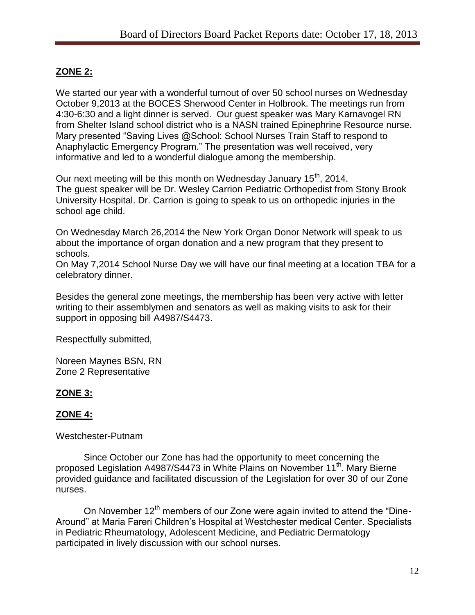## **ZONE 2:**

We started our year with a wonderful turnout of over 50 school nurses on Wednesday October 9,2013 at the BOCES Sherwood Center in Holbrook. The meetings run from 4:30-6:30 and a light dinner is served. Our guest speaker was Mary Karnavogel RN from Shelter Island school district who is a NASN trained Epinephrine Resource nurse. Mary presented "Saving Lives @School: School Nurses Train Staff to respond to Anaphylactic Emergency Program." The presentation was well received, very informative and led to a wonderful dialogue among the membership.

Our next meeting will be this month on Wednesday January 15<sup>th</sup>, 2014. The guest speaker will be Dr. Wesley Carrion Pediatric Orthopedist from Stony Brook University Hospital. Dr. Carrion is going to speak to us on orthopedic injuries in the school age child.

On Wednesday March 26,2014 the New York Organ Donor Network will speak to us about the importance of organ donation and a new program that they present to schools.

On May 7,2014 School Nurse Day we will have our final meeting at a location TBA for a celebratory dinner.

Besides the general zone meetings, the membership has been very active with letter writing to their assemblymen and senators as well as making visits to ask for their support in opposing bill A4987/S4473.

Respectfully submitted,

Noreen Maynes BSN, RN Zone 2 Representative

## **ZONE 3:**

### **ZONE 4:**

Westchester-Putnam

Since October our Zone has had the opportunity to meet concerning the proposed Legislation A4987/S4473 in White Plains on November 11<sup>th</sup>. Mary Bierne provided guidance and facilitated discussion of the Legislation for over 30 of our Zone nurses.

On November 12<sup>th</sup> members of our Zone were again invited to attend the "Dine-Around" at Maria Fareri Children's Hospital at Westchester medical Center. Specialists in Pediatric Rheumatology, Adolescent Medicine, and Pediatric Dermatology participated in lively discussion with our school nurses.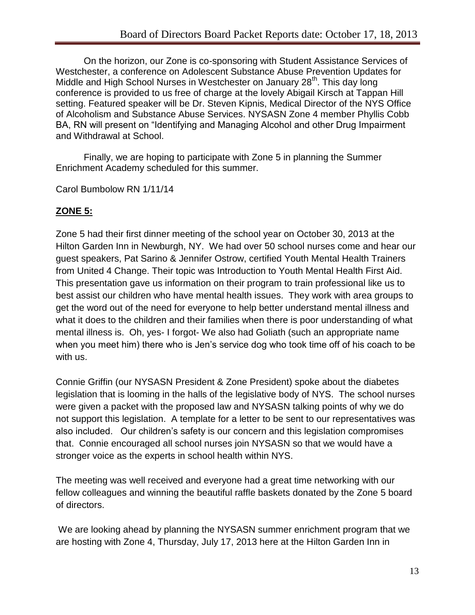On the horizon, our Zone is co-sponsoring with Student Assistance Services of Westchester, a conference on Adolescent Substance Abuse Prevention Updates for Middle and High School Nurses in Westchester on January 28<sup>th</sup>. This day long conference is provided to us free of charge at the lovely Abigail Kirsch at Tappan Hill setting. Featured speaker will be Dr. Steven Kipnis, Medical Director of the NYS Office of Alcoholism and Substance Abuse Services. NYSASN Zone 4 member Phyllis Cobb BA, RN will present on "Identifying and Managing Alcohol and other Drug Impairment and Withdrawal at School.

Finally, we are hoping to participate with Zone 5 in planning the Summer Enrichment Academy scheduled for this summer.

Carol Bumbolow RN 1/11/14

## **ZONE 5:**

Zone 5 had their first dinner meeting of the school year on October 30, 2013 at the Hilton Garden Inn in Newburgh, NY. We had over 50 school nurses come and hear our guest speakers, Pat Sarino & Jennifer Ostrow, certified Youth Mental Health Trainers from United 4 Change. Their topic was Introduction to Youth Mental Health First Aid. This presentation gave us information on their program to train professional like us to best assist our children who have mental health issues. They work with area groups to get the word out of the need for everyone to help better understand mental illness and what it does to the children and their families when there is poor understanding of what mental illness is. Oh, yes- I forgot- We also had Goliath (such an appropriate name when you meet him) there who is Jen's service dog who took time off of his coach to be with us.

Connie Griffin (our NYSASN President & Zone President) spoke about the diabetes legislation that is looming in the halls of the legislative body of NYS. The school nurses were given a packet with the proposed law and NYSASN talking points of why we do not support this legislation. A template for a letter to be sent to our representatives was also included. Our children's safety is our concern and this legislation compromises that. Connie encouraged all school nurses join NYSASN so that we would have a stronger voice as the experts in school health within NYS.

The meeting was well received and everyone had a great time networking with our fellow colleagues and winning the beautiful raffle baskets donated by the Zone 5 board of directors.

We are looking ahead by planning the NYSASN summer enrichment program that we are hosting with Zone 4, Thursday, July 17, 2013 here at the Hilton Garden Inn in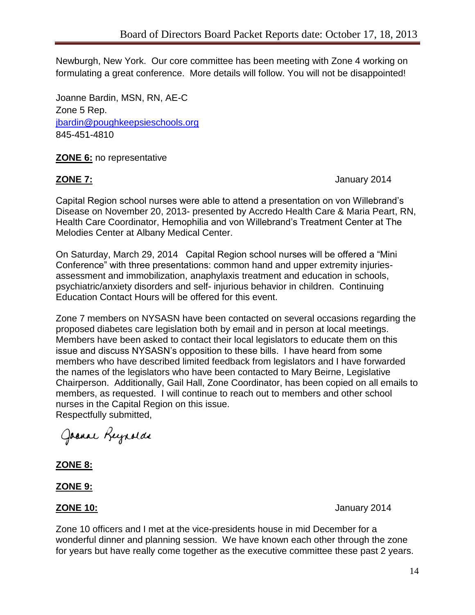Newburgh, New York. Our core committee has been meeting with Zone 4 working on formulating a great conference. More details will follow. You will not be disappointed!

Joanne Bardin, MSN, RN, AE-C Zone 5 Rep. [jbardin@poughkeepsieschools.org](mailto:jbardin@poughkeepsieschools.org) 845-451-4810

**ZONE 6:** no representative

**ZONE 7:** January 2014

Capital Region school nurses were able to attend a presentation on von Willebrand's Disease on November 20, 2013- presented by Accredo Health Care & Maria Peart, RN, Health Care Coordinator, Hemophilia and von Willebrand's Treatment Center at The Melodies Center at Albany Medical Center.

On Saturday, March 29, 2014 Capital Region school nurses will be offered a "Mini Conference" with three presentations: common hand and upper extremity injuriesassessment and immobilization, anaphylaxis treatment and education in schools, psychiatric/anxiety disorders and self- injurious behavior in children. Continuing Education Contact Hours will be offered for this event.

Zone 7 members on NYSASN have been contacted on several occasions regarding the proposed diabetes care legislation both by email and in person at local meetings. Members have been asked to contact their local legislators to educate them on this issue and discuss NYSASN's opposition to these bills. I have heard from some members who have described limited feedback from legislators and I have forwarded the names of the legislators who have been contacted to Mary Beirne, Legislative Chairperson. Additionally, Gail Hall, Zone Coordinator, has been copied on all emails to members, as requested. I will continue to reach out to members and other school nurses in the Capital Region on this issue.

Respectfully submitted,

Joanne Reynolds

**ZONE 8:**

### **ZONE 9:**

**ZONE 10:** January 2014

Zone 10 officers and I met at the vice-presidents house in mid December for a wonderful dinner and planning session. We have known each other through the zone for years but have really come together as the executive committee these past 2 years.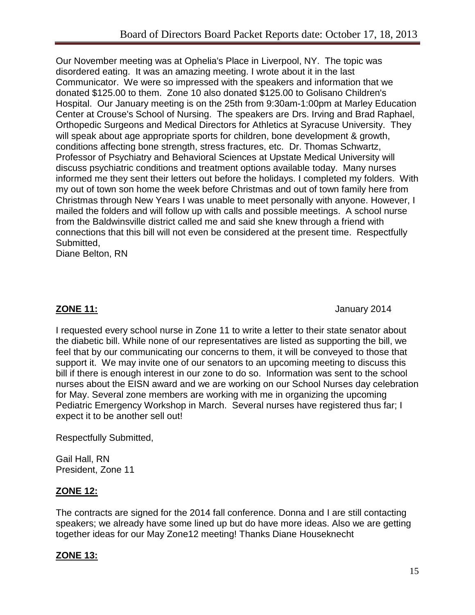Our November meeting was at Ophelia's Place in Liverpool, NY. The topic was disordered eating. It was an amazing meeting. I wrote about it in the last Communicator. We were so impressed with the speakers and information that we donated \$125.00 to them. Zone 10 also donated \$125.00 to Golisano Children's Hospital. Our January meeting is on the 25th from 9:30am-1:00pm at Marley Education Center at Crouse's School of Nursing. The speakers are Drs. Irving and Brad Raphael, Orthopedic Surgeons and Medical Directors for Athletics at Syracuse University. They will speak about age appropriate sports for children, bone development & growth, conditions affecting bone strength, stress fractures, etc. Dr. Thomas Schwartz, Professor of Psychiatry and Behavioral Sciences at Upstate Medical University will discuss psychiatric conditions and treatment options available today. Many nurses informed me they sent their letters out before the holidays. I completed my folders. With my out of town son home the week before Christmas and out of town family here from Christmas through New Years I was unable to meet personally with anyone. However, I mailed the folders and will follow up with calls and possible meetings. A school nurse from the Baldwinsville district called me and said she knew through a friend with connections that this bill will not even be considered at the present time. Respectfully Submitted,

Diane Belton, RN

**ZONE 11:** January 2014

I requested every school nurse in Zone 11 to write a letter to their state senator about the diabetic bill. While none of our representatives are listed as supporting the bill, we feel that by our communicating our concerns to them, it will be conveyed to those that support it. We may invite one of our senators to an upcoming meeting to discuss this bill if there is enough interest in our zone to do so. Information was sent to the school nurses about the EISN award and we are working on our School Nurses day celebration for May. Several zone members are working with me in organizing the upcoming Pediatric Emergency Workshop in March. Several nurses have registered thus far; I expect it to be another sell out!

Respectfully Submitted,

Gail Hall, RN President, Zone 11

## **ZONE 12:**

The contracts are signed for the 2014 fall conference. Donna and I are still contacting speakers; we already have some lined up but do have more ideas. Also we are getting together ideas for our May Zone12 meeting! Thanks Diane Houseknecht

## **ZONE 13:**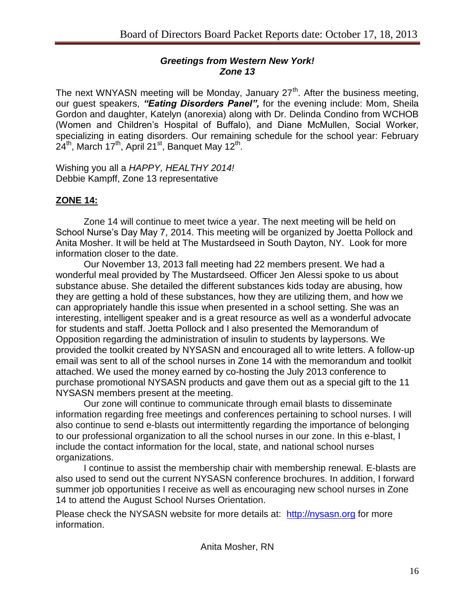### *Greetings from Western New York! Zone 13*

The next WNYASN meeting will be Monday, January 27<sup>th</sup>. After the business meeting, our guest speakers, *"Eating Disorders Panel",* for the evening include: Mom, Sheila Gordon and daughter, Katelyn (anorexia) along with Dr. Delinda Condino from WCHOB (Women and Children's Hospital of Buffalo), and Diane McMullen, Social Worker, specializing in eating disorders. Our remaining schedule for the school year: February 24<sup>th</sup>, March 17<sup>th</sup>, April 21<sup>st</sup>, Banquet May 12<sup>th</sup>.

Wishing you all a *HAPPY, HEALTHY 2014!* Debbie Kampff, Zone 13 representative

## **ZONE 14:**

Zone 14 will continue to meet twice a year. The next meeting will be held on School Nurse's Day May 7, 2014. This meeting will be organized by Joetta Pollock and Anita Mosher. It will be held at The Mustardseed in South Dayton, NY. Look for more information closer to the date.

Our November 13, 2013 fall meeting had 22 members present. We had a wonderful meal provided by The Mustardseed. Officer Jen Alessi spoke to us about substance abuse. She detailed the different substances kids today are abusing, how they are getting a hold of these substances, how they are utilizing them, and how we can appropriately handle this issue when presented in a school setting. She was an interesting, intelligent speaker and is a great resource as well as a wonderful advocate for students and staff. Joetta Pollock and I also presented the Memorandum of Opposition regarding the administration of insulin to students by laypersons. We provided the toolkit created by NYSASN and encouraged all to write letters. A follow-up email was sent to all of the school nurses in Zone 14 with the memorandum and toolkit attached. We used the money earned by co-hosting the July 2013 conference to purchase promotional NYSASN products and gave them out as a special gift to the 11 NYSASN members present at the meeting.

Our zone will continue to communicate through email blasts to disseminate information regarding free meetings and conferences pertaining to school nurses. I will also continue to send e-blasts out intermittently regarding the importance of belonging to our professional organization to all the school nurses in our zone. In this e-blast, I include the contact information for the local, state, and national school nurses organizations.

I continue to assist the membership chair with membership renewal. E-blasts are also used to send out the current NYSASN conference brochures. In addition, I forward summer job opportunities I receive as well as encouraging new school nurses in Zone 14 to attend the August School Nurses Orientation.

Please check the NYSASN website for more details at: [http://nysasn.org](http://nysasn.org/) for more information.